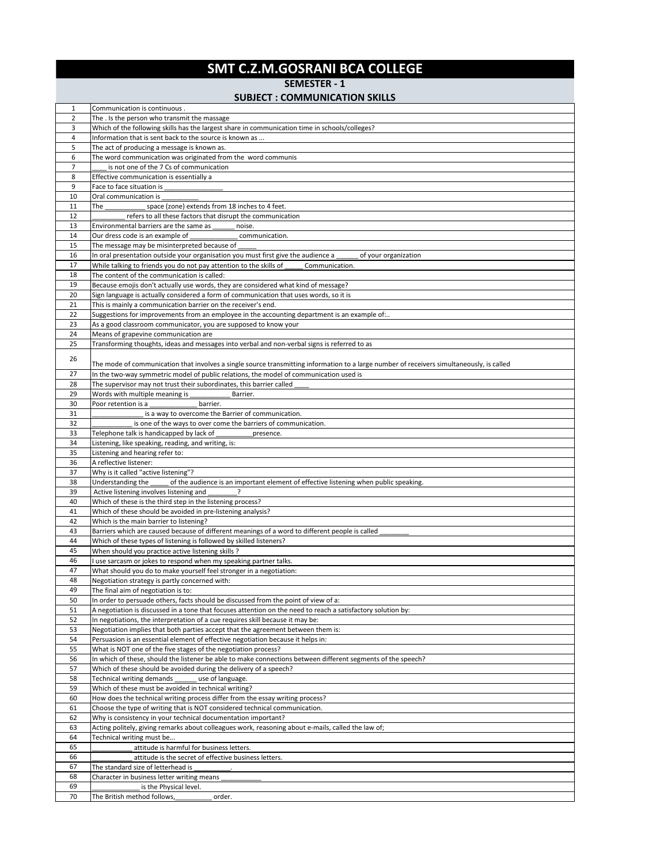## **SMT C.Z.M.GOSRANI BCA COLLEGE**

**SEMESTER - 1**

## **SUBJECT : COMMUNICATION SKILLS**

| 1              | Communication is continuous.                                                                                                              |
|----------------|-------------------------------------------------------------------------------------------------------------------------------------------|
| $\overline{2}$ | The . Is the person who transmit the massage                                                                                              |
| 3              | Which of the following skills has the largest share in communication time in schools/colleges?                                            |
| 4              | Information that is sent back to the source is known as                                                                                   |
| 5              | The act of producing a message is known as.                                                                                               |
| 6              | The word communication was originated from the word communis                                                                              |
| $\overline{7}$ |                                                                                                                                           |
|                | is not one of the 7 Cs of communication                                                                                                   |
| 8              | Effective communication is essentially a                                                                                                  |
| 9              | Face to face situation is                                                                                                                 |
| 10             | Oral communication is                                                                                                                     |
| 11             | space (zone) extends from 18 inches to 4 feet.<br>The                                                                                     |
| 12             | refers to all these factors that disrupt the communication                                                                                |
| 13             | Environmental barriers are the same as<br>noise.                                                                                          |
| 14             | Our dress code is an example of<br>communication.                                                                                         |
| 15             | The message may be misinterpreted because of                                                                                              |
| 16             | In oral presentation outside your organisation you must first give the audience a<br>of your organization                                 |
| 17             | While talking to friends you do not pay attention to the skills of<br>Communication.                                                      |
|                |                                                                                                                                           |
| 18             | The content of the communication is called:                                                                                               |
| 19             | Because emojis don't actually use words, they are considered what kind of message?                                                        |
| 20             | Sign language is actually considered a form of communication that uses words, so it is                                                    |
| 21             | This is mainly a communication barrier on the receiver's end.                                                                             |
| 22             | Suggestions for improvements from an employee in the accounting department is an example of                                               |
| 23             | As a good classroom communicator, you are supposed to know your                                                                           |
| 24             | Means of grapevine communication are                                                                                                      |
| 25             | Transforming thoughts, ideas and messages into verbal and non-verbal signs is referred to as                                              |
|                |                                                                                                                                           |
| 26             |                                                                                                                                           |
|                | The mode of communication that involves a single source transmitting information to a large number of receivers simultaneously, is called |
| 27             | In the two-way symmetric model of public relations, the model of communication used is                                                    |
| 28             | The supervisor may not trust their subordinates, this barrier called                                                                      |
| 29             | Words with multiple meaning is<br>Barrier.                                                                                                |
| 30             | barrier.<br>Poor retention is a                                                                                                           |
| 31             | is a way to overcome the Barrier of communication.                                                                                        |
| 32             | is one of the ways to over come the barriers of communication.                                                                            |
| 33             | Telephone talk is handicapped by lack of<br>presence.                                                                                     |
| 34             | Listening, like speaking, reading, and writing, is:                                                                                       |
|                |                                                                                                                                           |
|                |                                                                                                                                           |
| 35             | Listening and hearing refer to:                                                                                                           |
| 36             | A reflective listener:                                                                                                                    |
| 37             | Why is it called "active listening"?                                                                                                      |
| 38             | Understanding the<br>of the audience is an important element of effective listening when public speaking.                                 |
| 39             | Active listening involves listening and                                                                                                   |
| 40             | Which of these is the third step in the listening process?                                                                                |
| 41             | Which of these should be avoided in pre-listening analysis?                                                                               |
| 42             | Which is the main barrier to listening?                                                                                                   |
| 43             | Barriers which are caused because of different meanings of a word to different people is called                                           |
| 44             |                                                                                                                                           |
|                | Which of these types of listening is followed by skilled listeners?                                                                       |
| 45             | When should you practice active listening skills ?                                                                                        |
| 46             | I use sarcasm or jokes to respond when my speaking partner talks.                                                                         |
| 47             | What should you do to make yourself feel stronger in a negotiation:                                                                       |
| 48             | Negotiation strategy is partly concerned with:                                                                                            |
| 49             | The final aim of negotiation is to:                                                                                                       |
| 50             | In order to persuade others, facts should be discussed from the point of view of a:                                                       |
| 51             | A negotiation is discussed in a tone that focuses attention on the need to reach a satisfactory solution by:                              |
| 52             | In negotiations, the interpretation of a cue requires skill because it may be:                                                            |
| 53             | Negotiation implies that both parties accept that the agreement between them is:                                                          |
| 54             | Persuasion is an essential element of effective negotiation because it helps in:                                                          |
| 55             |                                                                                                                                           |
|                | What is NOT one of the five stages of the negotiation process?                                                                            |
| 56             | In which of these, should the listener be able to make connections between different segments of the speech?                              |
| 57             | Which of these should be avoided during the delivery of a speech?                                                                         |
| 58             | Technical writing demands<br>use of language.                                                                                             |
| 59             | Which of these must be avoided in technical writing?                                                                                      |
| 60             | How does the technical writing process differ from the essay writing process?                                                             |
| 61             | Choose the type of writing that is NOT considered technical communication.                                                                |
| 62             | Why is consistency in your technical documentation important?                                                                             |
| 63             | Acting politely, giving remarks about colleagues work, reasoning about e-mails, called the law of;                                        |
| 64             | Technical writing must be                                                                                                                 |
| 65             |                                                                                                                                           |
|                | attitude is harmful for business letters.                                                                                                 |
| 66             | attitude is the secret of effective business letters.                                                                                     |
| 67             | The standard size of letterhead is                                                                                                        |
| 68             | Character in business letter writing means                                                                                                |
| 69<br>70       | is the Physical level.<br>The British method follows,<br>order.                                                                           |